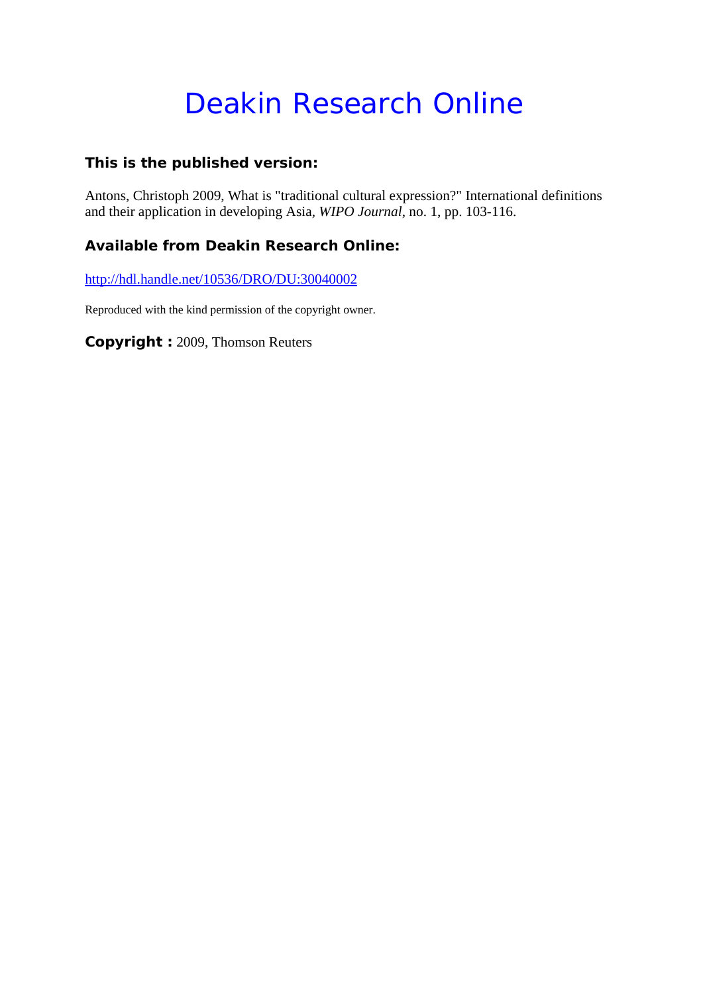# Deakin Research Online

#### **This is the published version:**

Antons, Christoph 2009, What is "traditional cultural expression?" International definitions and their application in developing Asia*, WIPO Journal*, no. 1, pp. 103-116.

#### **Available from Deakin Research Online:**

http://hdl.handle.net/10536/DRO/DU:30040002

Reproduced with the kind permission of the copyright owner.

**Copyright :** 2009, Thomson Reuters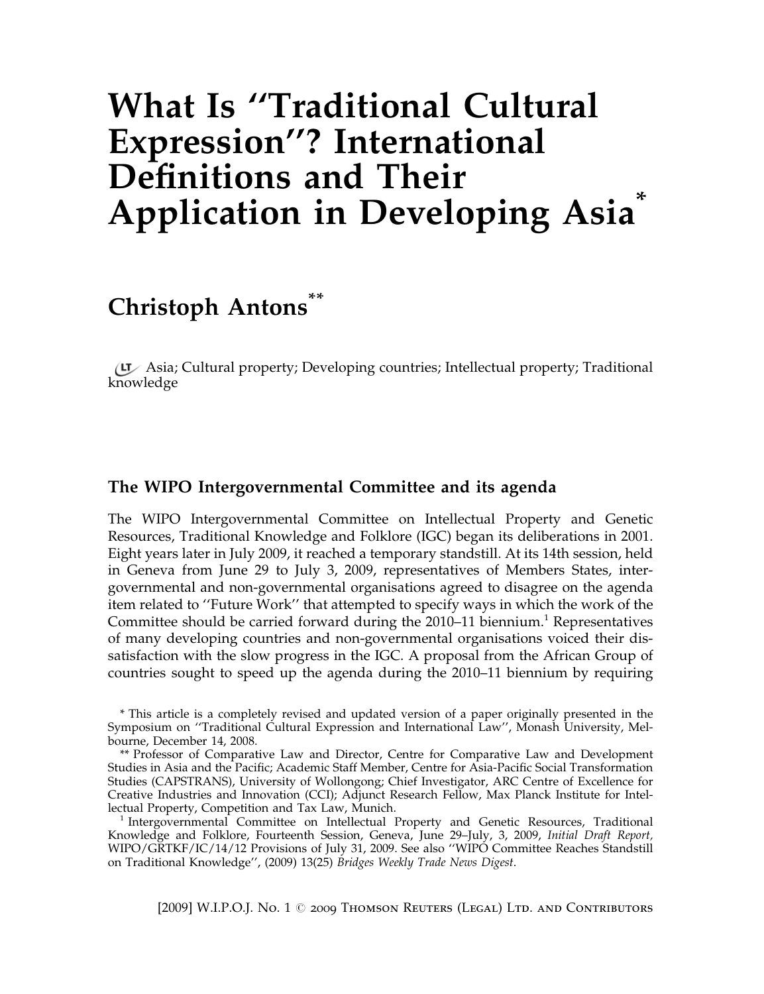## What Is ''Traditional Cultural Expression''? International Definitions and Their Application in Developing Asia<sup>\*</sup>

### Christoph Antons<sup>\*\*</sup>

Asia; Cultural property; Developing countries; Intellectual property; Traditional knowledge

#### The WIPO Intergovernmental Committee and its agenda

The WIPO Intergovernmental Committee on Intellectual Property and Genetic Resources, Traditional Knowledge and Folklore (IGC) began its deliberations in 2001. Eight years later in July 2009, it reached a temporary standstill. At its 14th session, held in Geneva from June 29 to July 3, 2009, representatives of Members States, intergovernmental and non-governmental organisations agreed to disagree on the agenda item related to ''Future Work'' that attempted to specify ways in which the work of the Committee should be carried forward during the  $2010-11$  biennium.<sup>1</sup> Representatives of many developing countries and non-governmental organisations voiced their dissatisfaction with the slow progress in the IGC. A proposal from the African Group of countries sought to speed up the agenda during the 2010–11 biennium by requiring

\* This article is a completely revised and updated version of a paper originally presented in the Symposium on ''Traditional Cultural Expression and International Law'', Monash University, Melbourne, December 14, 2008.

\*\* Professor of Comparative Law and Director, Centre for Comparative Law and Development Studies in Asia and the Pacific; Academic Staff Member, Centre for Asia-Pacific Social Transformation Studies (CAPSTRANS), University of Wollongong; Chief Investigator, ARC Centre of Excellence for Creative Industries and Innovation (CCI); Adjunct Research Fellow, Max Planck Institute for Intel-

<sup>1</sup> Intergovernmental Committee on Intellectual Property and Genetic Resources, Traditional Knowledge and Folklore, Fourteenth Session, Geneva, June 29–July, 3, 2009, Initial Draft Report, WIPO/GRTKF/IC/14/12 Provisions of July 31, 2009. See also ''WIPO Committee Reaches Standstill on Traditional Knowledge'', (2009) 13(25) Bridges Weekly Trade News Digest.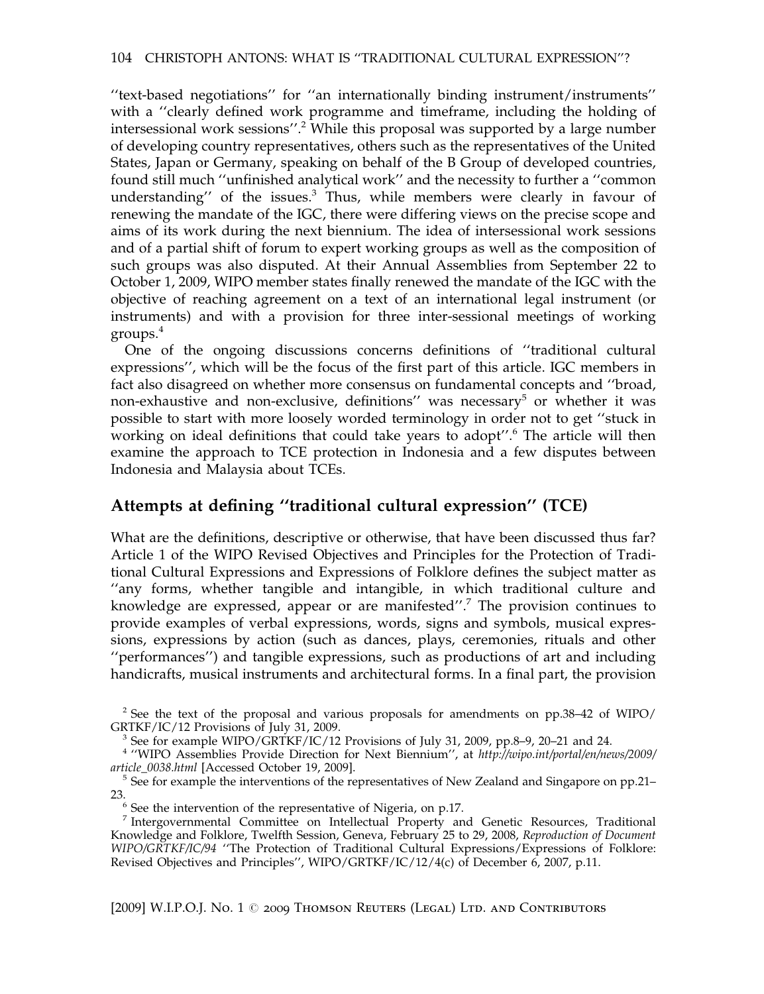''text-based negotiations'' for ''an internationally binding instrument/instruments'' with a ''clearly defined work programme and timeframe, including the holding of intersessional work sessions".<sup>2</sup> While this proposal was supported by a large number of developing country representatives, others such as the representatives of the United States, Japan or Germany, speaking on behalf of the B Group of developed countries, found still much ''unfinished analytical work'' and the necessity to further a ''common understanding'' of the issues.3 Thus, while members were clearly in favour of renewing the mandate of the IGC, there were differing views on the precise scope and aims of its work during the next biennium. The idea of intersessional work sessions and of a partial shift of forum to expert working groups as well as the composition of such groups was also disputed. At their Annual Assemblies from September 22 to October 1, 2009, WIPO member states finally renewed the mandate of the IGC with the objective of reaching agreement on a text of an international legal instrument (or instruments) and with a provision for three inter-sessional meetings of working groups.<sup>4</sup>

One of the ongoing discussions concerns definitions of ''traditional cultural expressions'', which will be the focus of the first part of this article. IGC members in fact also disagreed on whether more consensus on fundamental concepts and ''broad, non-exhaustive and non-exclusive, definitions'' was necessary<sup>5</sup> or whether it was possible to start with more loosely worded terminology in order not to get ''stuck in working on ideal definitions that could take years to adopt".<sup>6</sup> The article will then examine the approach to TCE protection in Indonesia and a few disputes between Indonesia and Malaysia about TCEs.

#### Attempts at defining ''traditional cultural expression'' (TCE)

What are the definitions, descriptive or otherwise, that have been discussed thus far? Article 1 of the WIPO Revised Objectives and Principles for the Protection of Traditional Cultural Expressions and Expressions of Folklore defines the subject matter as ''any forms, whether tangible and intangible, in which traditional culture and knowledge are expressed, appear or are manifested''.7 The provision continues to provide examples of verbal expressions, words, signs and symbols, musical expressions, expressions by action (such as dances, plays, ceremonies, rituals and other ''performances'') and tangible expressions, such as productions of art and including handicrafts, musical instruments and architectural forms. In a final part, the provision

<sup>&</sup>lt;sup>2</sup> See the text of the proposal and various proposals for amendments on pp.38–42 of WIPO/ GRTKF/IC/12 Provisions of July 31, 2009.

 $3$  See for example WIPO/GRTKF/IC/12 Provisions of July 31, 2009, pp.8–9, 20–21 and 24.

<sup>4</sup> ''WIPO Assemblies Provide Direction for Next Biennium'', at http://wipo.int/portal/en/news/2009/

article\_0038.html [Accessed October 19, 2009].<br><sup>5</sup> See for example the interventions of the representatives of New Zealand and Singapore on pp.21–<br>23.

 $6$  See the intervention of the representative of Nigeria, on p.17.

<sup>&</sup>lt;sup>7</sup> Intergovernmental Committee on Intellectual Property and Genetic Resources, Traditional Knowledge and Folklore, Twelfth Session, Geneva, February 25 to 29, 2008, Reproduction of Document WIPO/GRTKF/IC/94 ''The Protection of Traditional Cultural Expressions/Expressions of Folklore: Revised Objectives and Principles'', WIPO/GRTKF/IC/12/4(c) of December 6, 2007, p.11.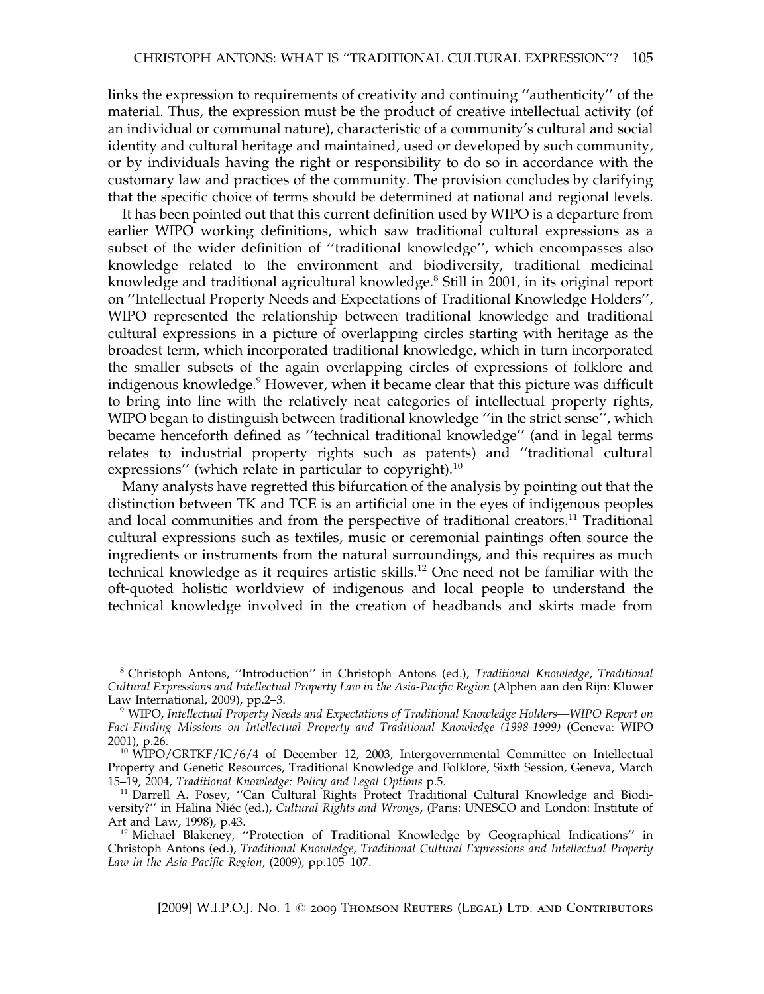links the expression to requirements of creativity and continuing ''authenticity'' of the material. Thus, the expression must be the product of creative intellectual activity (of an individual or communal nature), characteristic of a community's cultural and social identity and cultural heritage and maintained, used or developed by such community, or by individuals having the right or responsibility to do so in accordance with the customary law and practices of the community. The provision concludes by clarifying that the specific choice of terms should be determined at national and regional levels.

It has been pointed out that this current definition used by WIPO is a departure from earlier WIPO working definitions, which saw traditional cultural expressions as a subset of the wider definition of ''traditional knowledge'', which encompasses also knowledge related to the environment and biodiversity, traditional medicinal knowledge and traditional agricultural knowledge.<sup>8</sup> Still in 2001, in its original report on ''Intellectual Property Needs and Expectations of Traditional Knowledge Holders'', WIPO represented the relationship between traditional knowledge and traditional cultural expressions in a picture of overlapping circles starting with heritage as the broadest term, which incorporated traditional knowledge, which in turn incorporated the smaller subsets of the again overlapping circles of expressions of folklore and indigenous knowledge.<sup>9</sup> However, when it became clear that this picture was difficult to bring into line with the relatively neat categories of intellectual property rights, WIPO began to distinguish between traditional knowledge ''in the strict sense'', which became henceforth defined as ''technical traditional knowledge'' (and in legal terms relates to industrial property rights such as patents) and ''traditional cultural expressions" (which relate in particular to copyright). $^{10}$ 

Many analysts have regretted this bifurcation of the analysis by pointing out that the distinction between TK and TCE is an artificial one in the eyes of indigenous peoples and local communities and from the perspective of traditional creators.<sup>11</sup> Traditional cultural expressions such as textiles, music or ceremonial paintings often source the ingredients or instruments from the natural surroundings, and this requires as much technical knowledge as it requires artistic skills.<sup>12</sup> One need not be familiar with the oft-quoted holistic worldview of indigenous and local people to understand the technical knowledge involved in the creation of headbands and skirts made from

<sup>8</sup> Christoph Antons, "Introduction" in Christoph Antons (ed.), Traditional Knowledge, Traditional Cultural Expressions and Intellectual Property Law in the Asia-Pacific Region (Alphen aan den Rijn: Kluwer Law International, 2009), pp.2-3.

<sup>9</sup> WIPO, Intellectual Property Needs and Expectations of Traditional Knowledge Holders—WIPO Report on Fact-Finding Missions on Intellectual Property and Traditional Knowledge (1998-1999) (Geneva: WIPO 2001), p.26.

<sup>10</sup> WIPO/GRTKF/IC/6/4 of December 12, 2003, Intergovernmental Committee on Intellectual Property and Genetic Resources, Traditional Knowledge and Folklore, Sixth Session, Geneva, March<br>15–19, 2004, Traditional Knowledge: Policy and Legal Options p.5.

<sup>11</sup> Darrell A. Posey, "Can Cultural Rights Protect Traditional Cultural Knowledge and Biodiversity?" in Halina Niéc (ed.), Cultural Rights and Wrongs, (Paris: UNESCO and London: Institute of Art and Law, 1998), p.43.

<sup>12</sup> Michael Blakeney, ''Protection of Traditional Knowledge by Geographical Indications'' in Christoph Antons (ed.), Traditional Knowledge, Traditional Cultural Expressions and Intellectual Property Law in the Asia-Pacific Region, (2009), pp.105–107.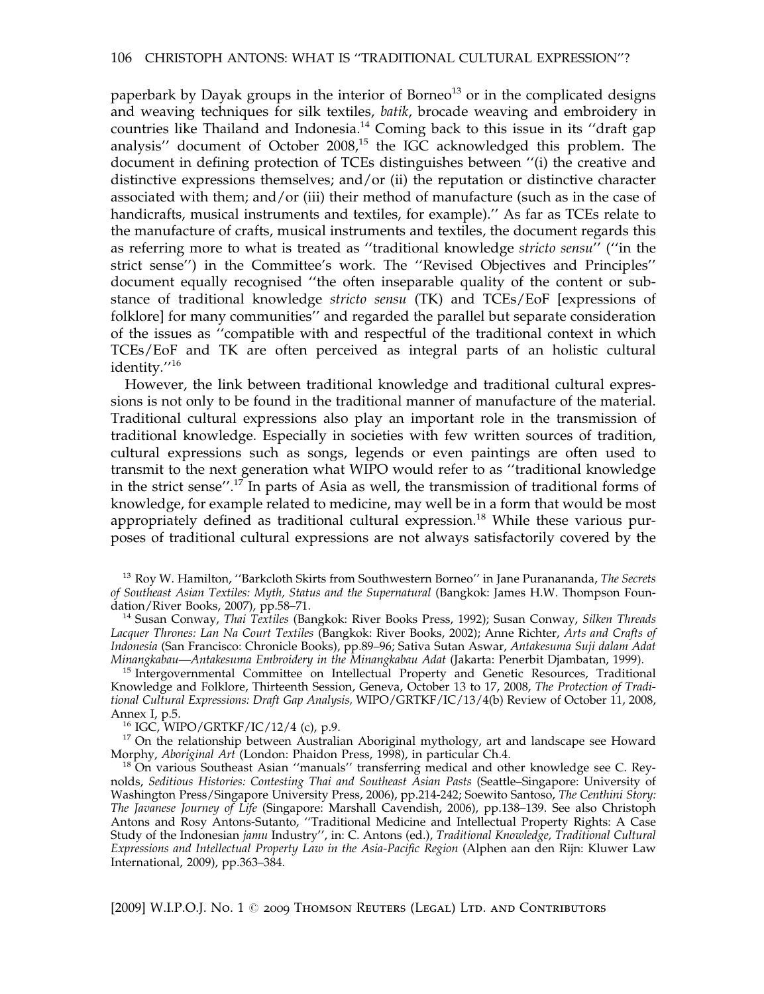paperbark by Dayak groups in the interior of Borneo $13$  or in the complicated designs and weaving techniques for silk textiles, batik, brocade weaving and embroidery in countries like Thailand and Indonesia.<sup>14</sup> Coming back to this issue in its ''draft gap analysis'' document of October 2008,<sup>15</sup> the IGC acknowledged this problem. The document in defining protection of TCEs distinguishes between ''(i) the creative and distinctive expressions themselves; and/or (ii) the reputation or distinctive character associated with them; and/or (iii) their method of manufacture (such as in the case of handicrafts, musical instruments and textiles, for example).'' As far as TCEs relate to the manufacture of crafts, musical instruments and textiles, the document regards this as referring more to what is treated as ''traditional knowledge stricto sensu'' (''in the strict sense'') in the Committee's work. The ''Revised Objectives and Principles'' document equally recognised ''the often inseparable quality of the content or substance of traditional knowledge stricto sensu (TK) and TCEs/EoF [expressions of folklore] for many communities'' and regarded the parallel but separate consideration of the issues as ''compatible with and respectful of the traditional context in which TCEs/EoF and TK are often perceived as integral parts of an holistic cultural identity.''<sup>16</sup>

However, the link between traditional knowledge and traditional cultural expressions is not only to be found in the traditional manner of manufacture of the material. Traditional cultural expressions also play an important role in the transmission of traditional knowledge. Especially in societies with few written sources of tradition, cultural expressions such as songs, legends or even paintings are often used to transmit to the next generation what WIPO would refer to as ''traditional knowledge in the strict sense''.<sup>17</sup> In parts of Asia as well, the transmission of traditional forms of knowledge, for example related to medicine, may well be in a form that would be most appropriately defined as traditional cultural expression.<sup>18</sup> While these various purposes of traditional cultural expressions are not always satisfactorily covered by the

<sup>13</sup> Roy W. Hamilton, "Barkcloth Skirts from Southwestern Borneo" in Jane Puranananda, The Secrets of Southeast Asian Textiles: Myth, Status and the Supernatural (Bangkok: James H.W. Thompson Foun-<br>dation/River Books, 2007), pp.58–71.

<sup>14</sup> Susan Conway, Thai Textiles (Bangkok: River Books Press, 1992); Susan Conway, Silken Threads Lacquer Thrones: Lan Na Court Textiles (Bangkok: River Books, 2002); Anne Richter, Arts and Crafts of Indonesia (San Francisco: Chronicle Books), pp.89–96; Sativa Sutan Aswar, Antakesuma Suji dalam Adat<br>Minangkabau—Antakesuma Embroidery in the Minangkabau Adat (Jakarta: Penerbit Djambatan, 1999).

<sup>15</sup> Intergovernmental Committee on Intellectual Property and Genetic Resources, Traditional Knowledge and Folklore, Thirteenth Session, Geneva, October 13 to 17, 2008, The Protection of Traditional Cultural Expressions: Draft Gap Analysis, WIPO/GRTKF/IC/13/4(b) Review of October 11, 2008,

Annex I, p.5. 16 IGC, WIPO/GRTKF/IC/12/4 (c), p.9. 16 IGC, WIPO/GRTKF/IC/12/4 (c), p.9. 17 On the relationship between Australian Aboriginal mythology, art and landscape see Howard Morphy, *Aboriginal Art* (London: Phaidon

 $^{18}$  On various Southeast Asian "manuals" transferring medical and other knowledge see C. Reynolds, Seditious Histories: Contesting Thai and Southeast Asian Pasts (Seattle–Singapore: University of Washington Press/Singapore University Press, 2006), pp.214-242; Soewito Santoso, The Centhini Story: The Javanese Journey of Life (Singapore: Marshall Cavendish, 2006), pp.138–139. See also Christoph Antons and Rosy Antons-Sutanto, ''Traditional Medicine and Intellectual Property Rights: A Case Study of the Indonesian jamu Industry'', in: C. Antons (ed.), Traditional Knowledge, Traditional Cultural Expressions and Intellectual Property Law in the Asia-Pacific Region (Alphen aan den Rijn: Kluwer Law International, 2009), pp.363–384.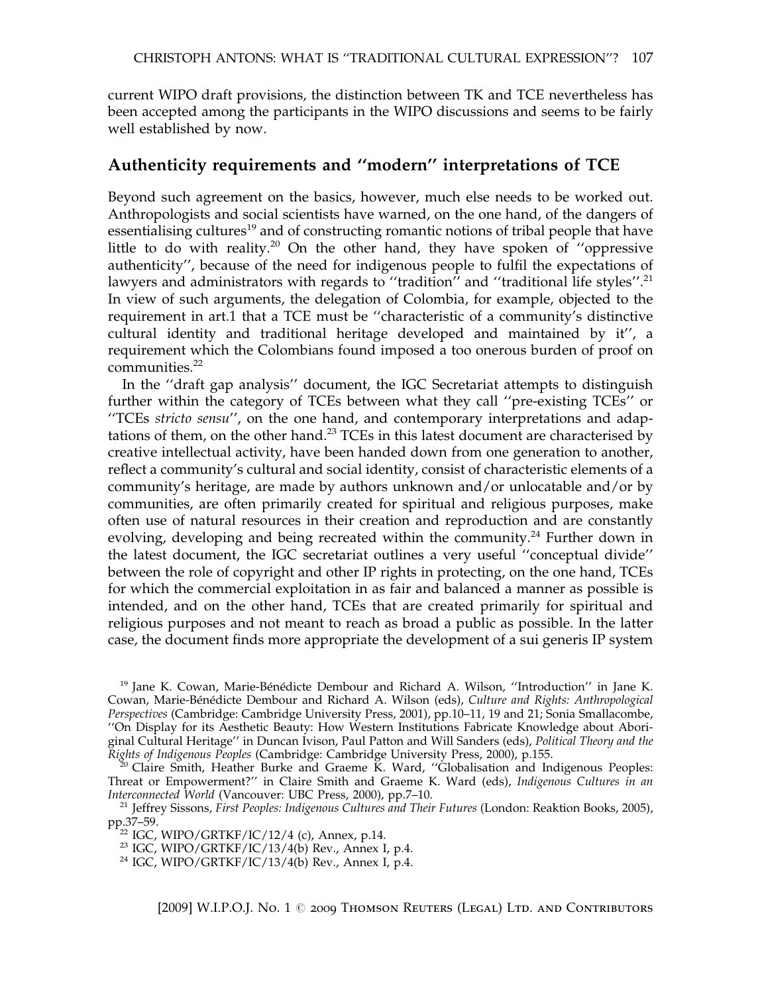current WIPO draft provisions, the distinction between TK and TCE nevertheless has been accepted among the participants in the WIPO discussions and seems to be fairly well established by now.

#### Authenticity requirements and ''modern'' interpretations of TCE

Beyond such agreement on the basics, however, much else needs to be worked out. Anthropologists and social scientists have warned, on the one hand, of the dangers of essentialising cultures<sup>19</sup> and of constructing romantic notions of tribal people that have little to do with reality.<sup>20</sup> On the other hand, they have spoken of "oppressive" authenticity'', because of the need for indigenous people to fulfil the expectations of lawyers and administrators with regards to "tradition" and "traditional life styles".<sup>21</sup> In view of such arguments, the delegation of Colombia, for example, objected to the requirement in art.1 that a TCE must be ''characteristic of a community's distinctive cultural identity and traditional heritage developed and maintained by it'', a requirement which the Colombians found imposed a too onerous burden of proof on communities.<sup>22</sup>

In the ''draft gap analysis'' document, the IGC Secretariat attempts to distinguish further within the category of TCEs between what they call ''pre-existing TCEs'' or ''TCEs stricto sensu'', on the one hand, and contemporary interpretations and adaptations of them, on the other hand.<sup>23</sup> TCEs in this latest document are characterised by creative intellectual activity, have been handed down from one generation to another, reflect a community's cultural and social identity, consist of characteristic elements of a community's heritage, are made by authors unknown and/or unlocatable and/or by communities, are often primarily created for spiritual and religious purposes, make often use of natural resources in their creation and reproduction and are constantly evolving, developing and being recreated within the community.<sup>24</sup> Further down in the latest document, the IGC secretariat outlines a very useful ''conceptual divide'' between the role of copyright and other IP rights in protecting, on the one hand, TCEs for which the commercial exploitation in as fair and balanced a manner as possible is intended, and on the other hand, TCEs that are created primarily for spiritual and religious purposes and not meant to reach as broad a public as possible. In the latter case, the document finds more appropriate the development of a sui generis IP system

 $19$  Jane K. Cowan, Marie-Bénédicte Dembour and Richard A. Wilson, "Introduction" in Jane K. Cowan, Marie-Bénédicte Dembour and Richard A. Wilson (eds), Culture and Rights: Anthropological Perspectives (Cambridge: Cambridge University Press, 2001), pp.10–11, 19 and 21; Sonia Smallacombe, ''On Display for its Aesthetic Beauty: How Western Institutions Fabricate Knowledge about Aboriginal Cultural Heritage'' in Duncan Ivison, Paul Patton and Will Sanders (eds), Political Theory and the Rights of Indigenous Peoples (Cambridge: Cambridge University Press, 2000), p.155.<br><sup>20</sup> Claire Smith, Heather Burke and Graeme K. Ward, "Globalisation and Indigenous Peoples:

Threat or Empowerment?" in Claire Smith and Graeme K. Ward (eds), Indigenous Cultures in an Interconnected World (Vancouver: UBC Press, 2000), pp.7–10.

<sup>21</sup> Jeffrey Sissons, First Peoples: Indigenous Cultures and Their Futures (London: Reaktion Books, 2005), pp.37–59.<br><sup>22</sup> IGC, WIPO/GRTKF/IC/12/4 (c), Annex, p.14.<br><sup>23</sup> IGC, WIPO/GRTKF/IC/13/4(b) Rev., Annex I, p.4.<br><sup>24</sup> IGC, WIPO/GRTKF/IC/13/4(b) Rev., Annex I, p.4.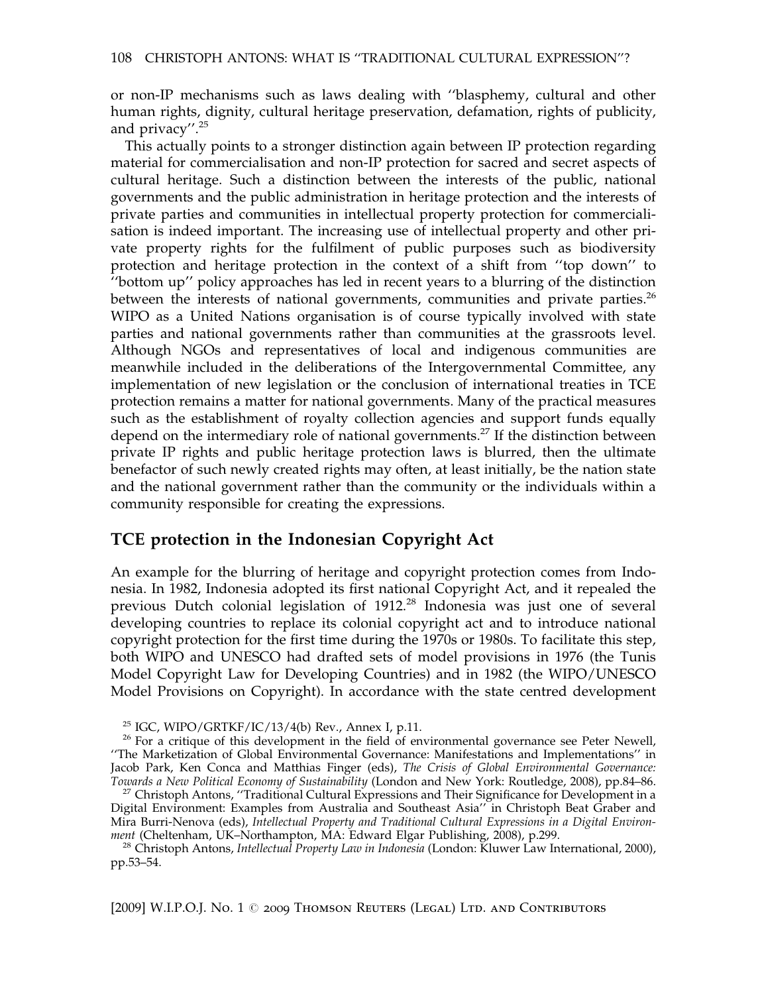or non-IP mechanisms such as laws dealing with ''blasphemy, cultural and other human rights, dignity, cultural heritage preservation, defamation, rights of publicity, and privacy''.<sup>25</sup>

This actually points to a stronger distinction again between IP protection regarding material for commercialisation and non-IP protection for sacred and secret aspects of cultural heritage. Such a distinction between the interests of the public, national governments and the public administration in heritage protection and the interests of private parties and communities in intellectual property protection for commercialisation is indeed important. The increasing use of intellectual property and other private property rights for the fulfilment of public purposes such as biodiversity protection and heritage protection in the context of a shift from ''top down'' to ''bottom up'' policy approaches has led in recent years to a blurring of the distinction between the interests of national governments, communities and private parties.<sup>26</sup> WIPO as a United Nations organisation is of course typically involved with state parties and national governments rather than communities at the grassroots level. Although NGOs and representatives of local and indigenous communities are meanwhile included in the deliberations of the Intergovernmental Committee, any implementation of new legislation or the conclusion of international treaties in TCE protection remains a matter for national governments. Many of the practical measures such as the establishment of royalty collection agencies and support funds equally depend on the intermediary role of national governments.<sup>27</sup> If the distinction between private IP rights and public heritage protection laws is blurred, then the ultimate benefactor of such newly created rights may often, at least initially, be the nation state and the national government rather than the community or the individuals within a community responsible for creating the expressions.

#### TCE protection in the Indonesian Copyright Act

An example for the blurring of heritage and copyright protection comes from Indonesia. In 1982, Indonesia adopted its first national Copyright Act, and it repealed the previous Dutch colonial legislation of 1912.<sup>28</sup> Indonesia was just one of several developing countries to replace its colonial copyright act and to introduce national copyright protection for the first time during the 1970s or 1980s. To facilitate this step, both WIPO and UNESCO had drafted sets of model provisions in 1976 (the Tunis Model Copyright Law for Developing Countries) and in 1982 (the WIPO/UNESCO Model Provisions on Copyright). In accordance with the state centred development

<sup>28</sup> Christoph Antons, *Intellectual Property Law in Indonesia* (London: Kluwer Law International, 2000), pp.53–54.

<sup>&</sup>lt;sup>25</sup> IGC, WIPO/GRTKF/IC/13/4(b) Rev., Annex I, p.11.<br><sup>26</sup> For a critique of this development in the field of environmental governance see Peter Newell, ''The Marketization of Global Environmental Governance: Manifestations and Implementations'' in Jacob Park, Ken Conca and Matthias Finger (eds), The Crisis of Global Environmental Governance:<br>Towards a New Political Economy of Sustainability (London and New York: Routledge, 2008), pp.84–86.

<sup>&</sup>lt;sup>27</sup> Christoph Antons, ''Traditional Cultural Expressions and Their Significance for Development in a Digital Environment: Examples from Australia and Southeast Asia'' in Christoph Beat Graber and Mira Burri-Nenova (eds), Intellectual Property and Traditional Cultural Expressions in a Digital Environ-<br>ment (Cheltenham, UK-Northampton, MA: Edward Elgar Publishing, 2008), p.299.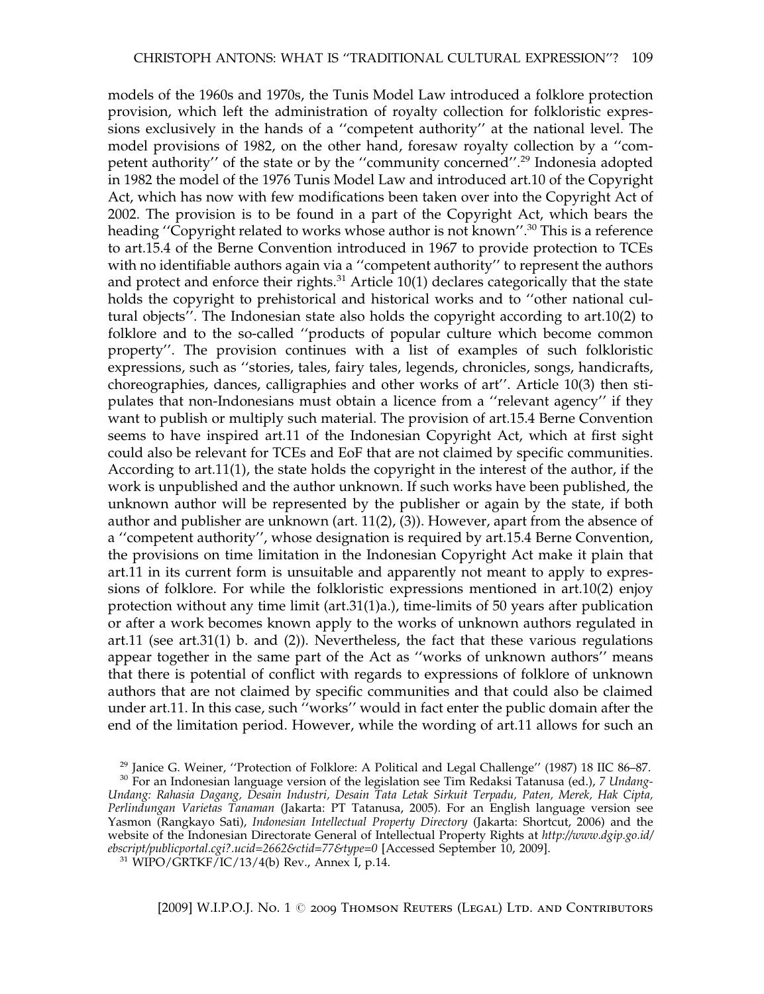models of the 1960s and 1970s, the Tunis Model Law introduced a folklore protection provision, which left the administration of royalty collection for folkloristic expressions exclusively in the hands of a ''competent authority'' at the national level. The model provisions of 1982, on the other hand, foresaw royalty collection by a ''competent authority'' of the state or by the ''community concerned''.<sup>29</sup> Indonesia adopted in 1982 the model of the 1976 Tunis Model Law and introduced art.10 of the Copyright Act, which has now with few modifications been taken over into the Copyright Act of 2002. The provision is to be found in a part of the Copyright Act, which bears the heading ''Copyright related to works whose author is not known''.<sup>30</sup> This is a reference to art.15.4 of the Berne Convention introduced in 1967 to provide protection to TCEs with no identifiable authors again via a ''competent authority'' to represent the authors and protect and enforce their rights. $31$  Article 10(1) declares categorically that the state holds the copyright to prehistorical and historical works and to ''other national cultural objects''. The Indonesian state also holds the copyright according to art.10(2) to folklore and to the so-called ''products of popular culture which become common property''. The provision continues with a list of examples of such folkloristic expressions, such as ''stories, tales, fairy tales, legends, chronicles, songs, handicrafts, choreographies, dances, calligraphies and other works of art''. Article 10(3) then stipulates that non-Indonesians must obtain a licence from a ''relevant agency'' if they want to publish or multiply such material. The provision of art.15.4 Berne Convention seems to have inspired art.11 of the Indonesian Copyright Act, which at first sight could also be relevant for TCEs and EoF that are not claimed by specific communities. According to art.11(1), the state holds the copyright in the interest of the author, if the work is unpublished and the author unknown. If such works have been published, the unknown author will be represented by the publisher or again by the state, if both author and publisher are unknown (art.  $11(2)$ , (3)). However, apart from the absence of a ''competent authority'', whose designation is required by art.15.4 Berne Convention, the provisions on time limitation in the Indonesian Copyright Act make it plain that art.11 in its current form is unsuitable and apparently not meant to apply to expressions of folklore. For while the folkloristic expressions mentioned in art.10(2) enjoy protection without any time limit (art.31(1)a.), time-limits of 50 years after publication or after a work becomes known apply to the works of unknown authors regulated in art.11 (see art.31(1) b. and (2)). Nevertheless, the fact that these various regulations appear together in the same part of the Act as ''works of unknown authors'' means that there is potential of conflict with regards to expressions of folklore of unknown authors that are not claimed by specific communities and that could also be claimed under art.11. In this case, such ''works'' would in fact enter the public domain after the end of the limitation period. However, while the wording of art.11 allows for such an

<sup>&</sup>lt;sup>29</sup> Janice G. Weiner, ''Protection of Folklore: A Political and Legal Challenge'' (1987) 18 IIC 86–87. 30 For an Indonesian language version of the legislation see Tim Redaksi Tatanusa (ed.), 7 *Undang*-Undang: Rahasia Dagang, Desain Industri, Desain Tata Letak Sirkuit Terpadu, Paten, Merek, Hak Cipta, Perlindungan Varietas Tanaman (Jakarta: PT Tatanusa, 2005). For an English language version see Yasmon (Rangkayo Sati), Indonesian Intellectual Property Directory (Jakarta: Shortcut, 2006) and the website of the Indonesian Directorate General of Intellectual Property Rights at http://www.dgip.go.id/ ebscript/publicportal.cgi?.ucid=2662&ctid=77&type=0 [Accessed September 10, 2009].<br><sup>31</sup> WIPO/GRTKF/IC/13/4(b) Rev., Annex I, p.14.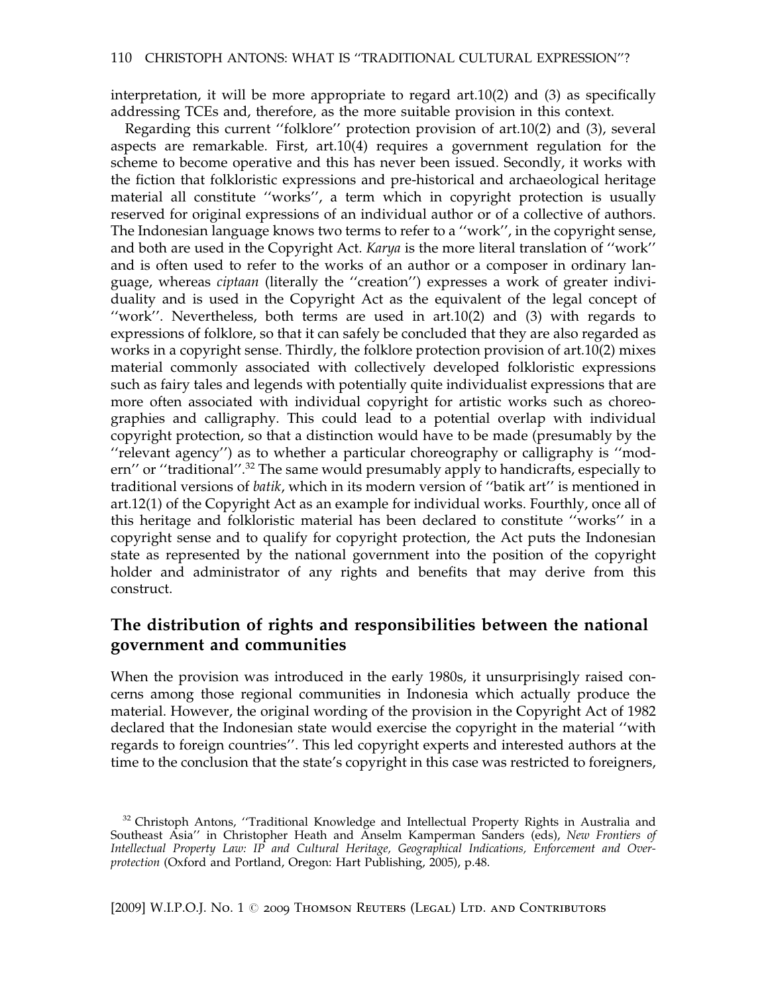interpretation, it will be more appropriate to regard art.10(2) and (3) as specifically addressing TCEs and, therefore, as the more suitable provision in this context.

Regarding this current ''folklore'' protection provision of art.10(2) and (3), several aspects are remarkable. First, art.10(4) requires a government regulation for the scheme to become operative and this has never been issued. Secondly, it works with the fiction that folkloristic expressions and pre-historical and archaeological heritage material all constitute ''works'', a term which in copyright protection is usually reserved for original expressions of an individual author or of a collective of authors. The Indonesian language knows two terms to refer to a ''work'', in the copyright sense, and both are used in the Copyright Act. Karya is the more literal translation of ''work'' and is often used to refer to the works of an author or a composer in ordinary language, whereas ciptaan (literally the ''creation'') expresses a work of greater individuality and is used in the Copyright Act as the equivalent of the legal concept of ''work''. Nevertheless, both terms are used in art.10(2) and (3) with regards to expressions of folklore, so that it can safely be concluded that they are also regarded as works in a copyright sense. Thirdly, the folklore protection provision of art.10(2) mixes material commonly associated with collectively developed folkloristic expressions such as fairy tales and legends with potentially quite individualist expressions that are more often associated with individual copyright for artistic works such as choreographies and calligraphy. This could lead to a potential overlap with individual copyright protection, so that a distinction would have to be made (presumably by the ''relevant agency'') as to whether a particular choreography or calligraphy is ''modern'' or "traditional".<sup>32</sup> The same would presumably apply to handicrafts, especially to traditional versions of batik, which in its modern version of ''batik art'' is mentioned in art.12(1) of the Copyright Act as an example for individual works. Fourthly, once all of this heritage and folkloristic material has been declared to constitute ''works'' in a copyright sense and to qualify for copyright protection, the Act puts the Indonesian state as represented by the national government into the position of the copyright holder and administrator of any rights and benefits that may derive from this construct.

#### The distribution of rights and responsibilities between the national government and communities

When the provision was introduced in the early 1980s, it unsurprisingly raised concerns among those regional communities in Indonesia which actually produce the material. However, the original wording of the provision in the Copyright Act of 1982 declared that the Indonesian state would exercise the copyright in the material ''with regards to foreign countries''. This led copyright experts and interested authors at the time to the conclusion that the state's copyright in this case was restricted to foreigners,

<sup>&</sup>lt;sup>32</sup> Christoph Antons, "Traditional Knowledge and Intellectual Property Rights in Australia and Southeast Asia'' in Christopher Heath and Anselm Kamperman Sanders (eds), New Frontiers of Intellectual Property Law: IP and Cultural Heritage, Geographical Indications, Enforcement and Overprotection (Oxford and Portland, Oregon: Hart Publishing, 2005), p.48.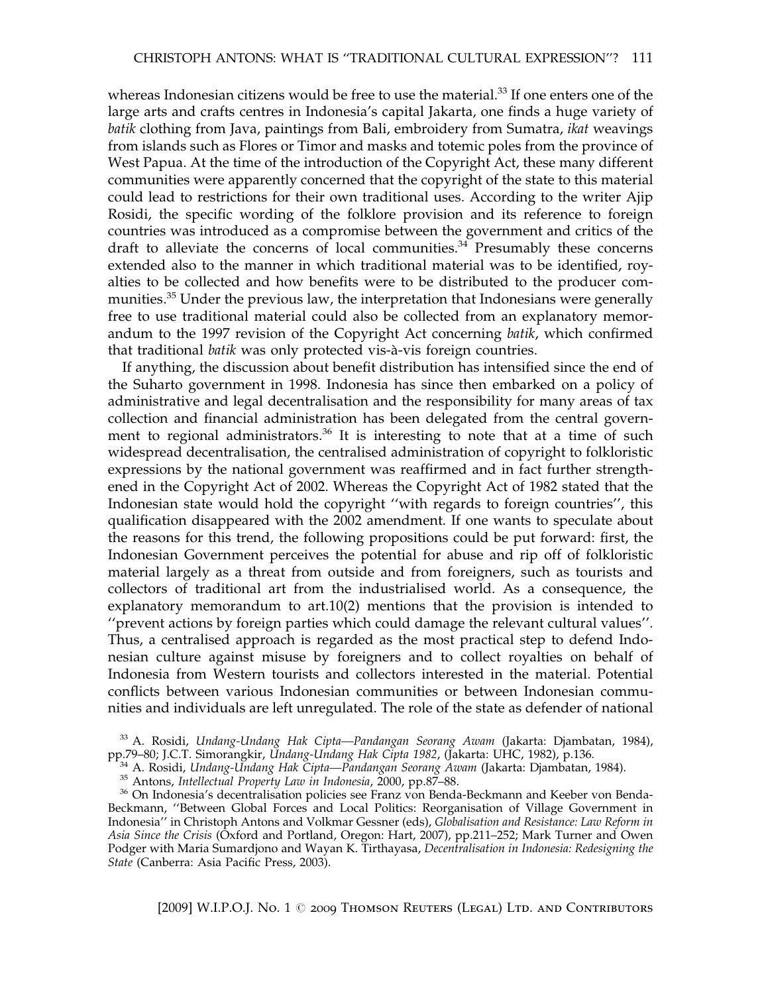whereas Indonesian citizens would be free to use the material.<sup>33</sup> If one enters one of the large arts and crafts centres in Indonesia's capital Jakarta, one finds a huge variety of batik clothing from Java, paintings from Bali, embroidery from Sumatra, ikat weavings from islands such as Flores or Timor and masks and totemic poles from the province of West Papua. At the time of the introduction of the Copyright Act, these many different communities were apparently concerned that the copyright of the state to this material could lead to restrictions for their own traditional uses. According to the writer Ajip Rosidi, the specific wording of the folklore provision and its reference to foreign countries was introduced as a compromise between the government and critics of the draft to alleviate the concerns of local communities. $34$  Presumably these concerns extended also to the manner in which traditional material was to be identified, royalties to be collected and how benefits were to be distributed to the producer communities.<sup>35</sup> Under the previous law, the interpretation that Indonesians were generally free to use traditional material could also be collected from an explanatory memorandum to the 1997 revision of the Copyright Act concerning batik, which confirmed that traditional *batik* was only protected vis-à-vis foreign countries.

If anything, the discussion about benefit distribution has intensified since the end of the Suharto government in 1998. Indonesia has since then embarked on a policy of administrative and legal decentralisation and the responsibility for many areas of tax collection and financial administration has been delegated from the central government to regional administrators.<sup>36</sup> It is interesting to note that at a time of such widespread decentralisation, the centralised administration of copyright to folkloristic expressions by the national government was reaffirmed and in fact further strengthened in the Copyright Act of 2002. Whereas the Copyright Act of 1982 stated that the Indonesian state would hold the copyright ''with regards to foreign countries'', this qualification disappeared with the 2002 amendment. If one wants to speculate about the reasons for this trend, the following propositions could be put forward: first, the Indonesian Government perceives the potential for abuse and rip off of folkloristic material largely as a threat from outside and from foreigners, such as tourists and collectors of traditional art from the industrialised world. As a consequence, the explanatory memorandum to art.10(2) mentions that the provision is intended to ''prevent actions by foreign parties which could damage the relevant cultural values''. Thus, a centralised approach is regarded as the most practical step to defend Indonesian culture against misuse by foreigners and to collect royalties on behalf of Indonesia from Western tourists and collectors interested in the material. Potential conflicts between various Indonesian communities or between Indonesian communities and individuals are left unregulated. The role of the state as defender of national

pp.79–80; J.C.T. Simorangkir, *Undang-Undang Hak Cipta 1982*, (Jakarta: UHC, 1982), p.136.<br><sup>34</sup> A. Rosidi, *Undang-Undang Hak Cipta—Pandangan Seorang Awam* (Jakarta: Djambatan, 1984).<br><sup>35</sup> Antons, *Intellectual Property La* Beckmann, ''Between Global Forces and Local Politics: Reorganisation of Village Government in Indonesia'' in Christoph Antons and Volkmar Gessner (eds), Globalisation and Resistance: Law Reform in Asia Since the Crisis (Oxford and Portland, Oregon: Hart, 2007), pp.211–252; Mark Turner and Owen Podger with Maria Sumardjono and Wayan K. Tirthayasa, Decentralisation in Indonesia: Redesigning the State (Canberra: Asia Pacific Press, 2003).

<sup>&</sup>lt;sup>33</sup> A. Rosidi, Undang-Undang Hak Cipta—Pandangan Seorang Awam (Jakarta: Djambatan, 1984),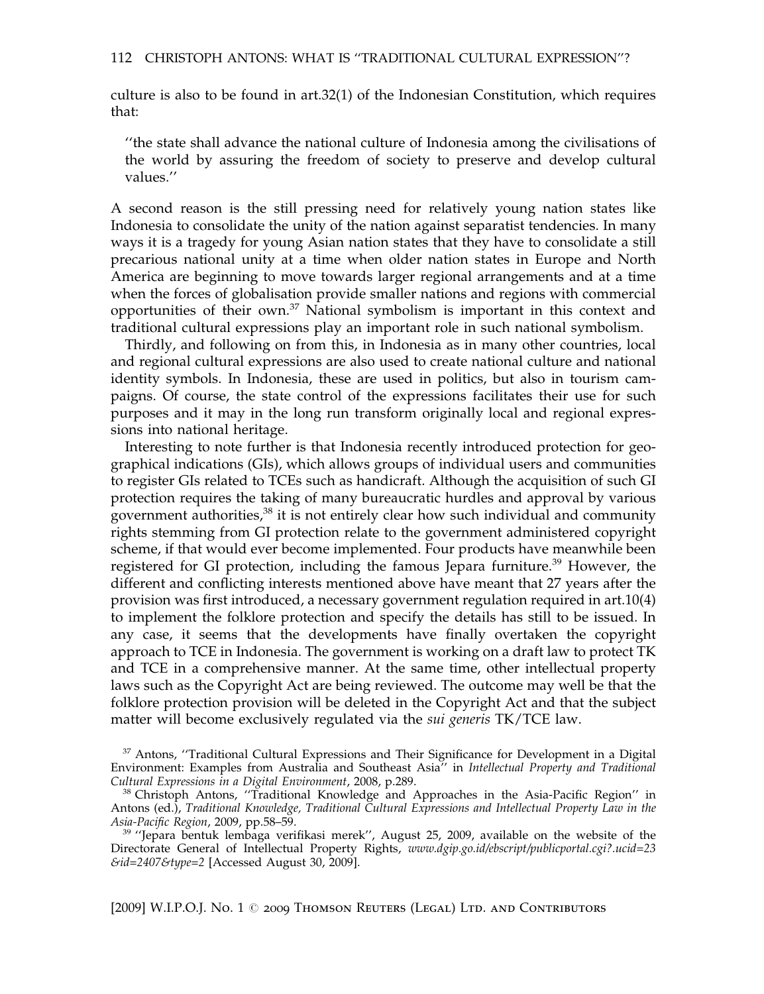culture is also to be found in art.32(1) of the Indonesian Constitution, which requires that:

''the state shall advance the national culture of Indonesia among the civilisations of the world by assuring the freedom of society to preserve and develop cultural values.''

A second reason is the still pressing need for relatively young nation states like Indonesia to consolidate the unity of the nation against separatist tendencies. In many ways it is a tragedy for young Asian nation states that they have to consolidate a still precarious national unity at a time when older nation states in Europe and North America are beginning to move towards larger regional arrangements and at a time when the forces of globalisation provide smaller nations and regions with commercial opportunities of their own.<sup>37</sup> National symbolism is important in this context and traditional cultural expressions play an important role in such national symbolism.

Thirdly, and following on from this, in Indonesia as in many other countries, local and regional cultural expressions are also used to create national culture and national identity symbols. In Indonesia, these are used in politics, but also in tourism campaigns. Of course, the state control of the expressions facilitates their use for such purposes and it may in the long run transform originally local and regional expressions into national heritage.

Interesting to note further is that Indonesia recently introduced protection for geographical indications (GIs), which allows groups of individual users and communities to register GIs related to TCEs such as handicraft. Although the acquisition of such GI protection requires the taking of many bureaucratic hurdles and approval by various government authorities,<sup>38</sup> it is not entirely clear how such individual and community rights stemming from GI protection relate to the government administered copyright scheme, if that would ever become implemented. Four products have meanwhile been registered for GI protection, including the famous Jepara furniture.<sup>39</sup> However, the different and conflicting interests mentioned above have meant that 27 years after the provision was first introduced, a necessary government regulation required in art.10(4) to implement the folklore protection and specify the details has still to be issued. In any case, it seems that the developments have finally overtaken the copyright approach to TCE in Indonesia. The government is working on a draft law to protect TK and TCE in a comprehensive manner. At the same time, other intellectual property laws such as the Copyright Act are being reviewed. The outcome may well be that the folklore protection provision will be deleted in the Copyright Act and that the subject matter will become exclusively regulated via the sui generis TK/TCE law.

 $37$  Antons, "Traditional Cultural Expressions and Their Significance for Development in a Digital Environment: Examples from Australia and Southeast Asia'' in Intellectual Property and Traditional Cultural Expressions in a Digital Environment, 2008, p.289. <sup>38</sup> Christoph Antons, ''Traditional Knowledge and Approaches in the Asia-Pacific Region'' in

Antons (ed.), Traditional Knowledge, Traditional Cultural Expressions and Intellectual Property Law in the<br>Asia-Pacific Region, 2009, pp.58–59.

<sup>&</sup>lt;sup>39</sup> "Jepara bentuk lembaga verifikasi merek", August 25, 2009, available on the website of the Directorate General of Intellectual Property Rights, www.dgip.go.id/ebscript/publicportal.cgi?.ucid=23 &id=2407&type=2 [Accessed August 30, 2009].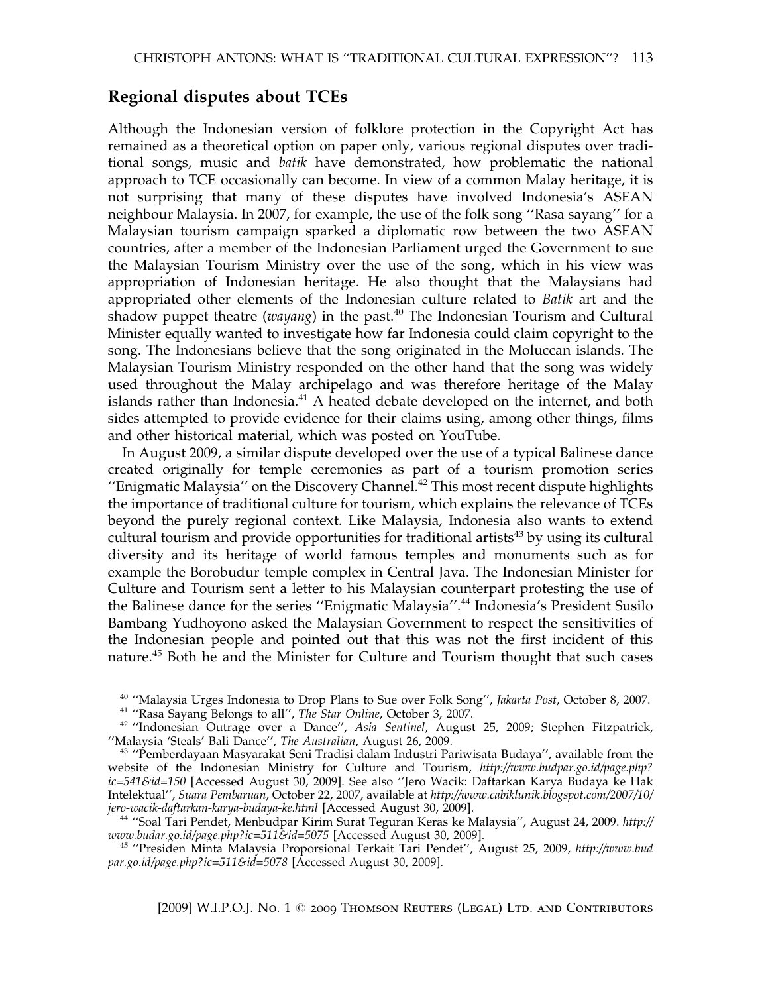#### Regional disputes about TCEs

Although the Indonesian version of folklore protection in the Copyright Act has remained as a theoretical option on paper only, various regional disputes over traditional songs, music and batik have demonstrated, how problematic the national approach to TCE occasionally can become. In view of a common Malay heritage, it is not surprising that many of these disputes have involved Indonesia's ASEAN neighbour Malaysia. In 2007, for example, the use of the folk song ''Rasa sayang'' for a Malaysian tourism campaign sparked a diplomatic row between the two ASEAN countries, after a member of the Indonesian Parliament urged the Government to sue the Malaysian Tourism Ministry over the use of the song, which in his view was appropriation of Indonesian heritage. He also thought that the Malaysians had appropriated other elements of the Indonesian culture related to Batik art and the shadow puppet theatre (wayang) in the past. $40$  The Indonesian Tourism and Cultural Minister equally wanted to investigate how far Indonesia could claim copyright to the song. The Indonesians believe that the song originated in the Moluccan islands. The Malaysian Tourism Ministry responded on the other hand that the song was widely used throughout the Malay archipelago and was therefore heritage of the Malay islands rather than Indonesia. $41$  A heated debate developed on the internet, and both sides attempted to provide evidence for their claims using, among other things, films and other historical material, which was posted on YouTube.

In August 2009, a similar dispute developed over the use of a typical Balinese dance created originally for temple ceremonies as part of a tourism promotion series "Enigmatic Malaysia" on the Discovery Channel.<sup>42</sup> This most recent dispute highlights the importance of traditional culture for tourism, which explains the relevance of TCEs beyond the purely regional context. Like Malaysia, Indonesia also wants to extend cultural tourism and provide opportunities for traditional artists<sup>43</sup> by using its cultural diversity and its heritage of world famous temples and monuments such as for example the Borobudur temple complex in Central Java. The Indonesian Minister for Culture and Tourism sent a letter to his Malaysian counterpart protesting the use of the Balinese dance for the series ''Enigmatic Malaysia''.<sup>44</sup> Indonesia's President Susilo Bambang Yudhoyono asked the Malaysian Government to respect the sensitivities of the Indonesian people and pointed out that this was not the first incident of this nature.<sup>45</sup> Both he and the Minister for Culture and Tourism thought that such cases

<sup>&</sup>lt;sup>40</sup> "Malaysia Urges Indonesia to Drop Plans to Sue over Folk Song", Jakarta Post, October 8, 2007.<br><sup>41</sup> "Rasa Sayang Belongs to all", *The Star Online*, October 3, 2007.<br><sup>42</sup> "Indonesian Outrage over a Dance", *Asia Sent* 

 $43$  "Pemberdayaan Masyarakat Seni Tradisi dalam Industri Pariwisata Budaya", available from the website of the Indonesian Ministry for Culture and Tourism, http://www.budpar.go.id/page.php? ic=541&id=150 [Accessed August 30, 2009]. See also ''Jero Wacik: Daftarkan Karya Budaya ke Hak Intelektual'', Suara Pembaruan, October 22, 2007, available at http://www.cabiklunik.blogspot.com/2007/10/

jero-wacik-daftarkan-karya-budaya-ke.html [Accessed August 30, 2009].<br><sup>44</sup> ''Soal Tari Pendet, Menbudpar Kirim Surat Teguran Keras ke Malaysia'', August 24, 2009. http://<br>www.budar.go.id/page.php?ic=511&id=5075 [Accessed A

<sup>&</sup>lt;sup>45</sup> "Presiden Minta Malaysia Proporsional Terkait Tari Pendet", August 25, 2009, http://www.bud  $par.gov.id/page.php?ic=511&6id=5078$  [Accessed August 30, 2009].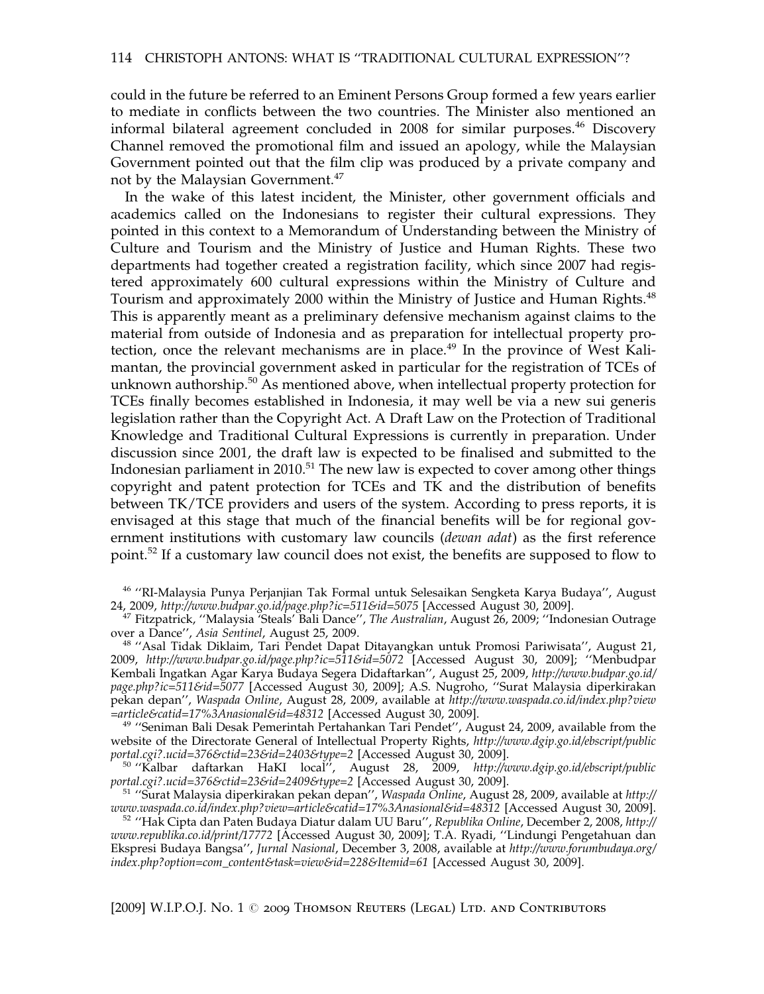could in the future be referred to an Eminent Persons Group formed a few years earlier to mediate in conflicts between the two countries. The Minister also mentioned an informal bilateral agreement concluded in 2008 for similar purposes.<sup>46</sup> Discovery Channel removed the promotional film and issued an apology, while the Malaysian Government pointed out that the film clip was produced by a private company and not by the Malaysian Government.<sup>47</sup>

In the wake of this latest incident, the Minister, other government officials and academics called on the Indonesians to register their cultural expressions. They pointed in this context to a Memorandum of Understanding between the Ministry of Culture and Tourism and the Ministry of Justice and Human Rights. These two departments had together created a registration facility, which since 2007 had registered approximately 600 cultural expressions within the Ministry of Culture and Tourism and approximately 2000 within the Ministry of Justice and Human Rights.<sup>48</sup> This is apparently meant as a preliminary defensive mechanism against claims to the material from outside of Indonesia and as preparation for intellectual property protection, once the relevant mechanisms are in place.<sup>49</sup> In the province of West Kalimantan, the provincial government asked in particular for the registration of TCEs of unknown authorship. $50$  As mentioned above, when intellectual property protection for TCEs finally becomes established in Indonesia, it may well be via a new sui generis legislation rather than the Copyright Act. A Draft Law on the Protection of Traditional Knowledge and Traditional Cultural Expressions is currently in preparation. Under discussion since 2001, the draft law is expected to be finalised and submitted to the Indonesian parliament in 2010.<sup>51</sup> The new law is expected to cover among other things copyright and patent protection for TCEs and TK and the distribution of benefits between TK/TCE providers and users of the system. According to press reports, it is envisaged at this stage that much of the financial benefits will be for regional government institutions with customary law councils *(dewan adat)* as the first reference point.<sup>52</sup> If a customary law council does not exist, the benefits are supposed to flow to

<sup>46</sup> "RI-Malaysia Punya Perjanjian Tak Formal untuk Selesaikan Sengketa Karya Budaya", August 24, 2009, http://www.budpar.go.id/page.php?ic=511&id=5075 [Accessed August 30, 2009].

<sup>48</sup> "Asal Tidak Diklaim, Tari Pendet Dapat Ditayangkan untuk Promosi Pariwisata", August 21, 2009, http://www.budpar.go.id/page.php?ic=511&id=5072 [Accessed August 30, 2009]; ''Menbudpar Kembali Ingatkan Agar Karya Budaya Segera Didaftarkan'', August 25, 2009, http://www.budpar.go.id/ page.php?ic=511&id=5077 [Accessed August 30, 2009]; A.S. Nugroho, ''Surat Malaysia diperkirakan pekan depan", Waspada Online, August 28, 2009, available at http://www.waspada.co.id/index.php?view<br>=article&catid=17%3Anasional&id=48312 [Accessed August 30, 2009].

 $49$  "Seniman Bali Desak Pemerintah Pertahankan Tari Pendet", August 24, 2009, available from the website of the Directorate General of Intellectual Property Rights, http://www.dgip.go.id/ebscript/public

portal.cgi?.ucid=376&ctid=23&id=2403&type=2 [Accessed August 30, 2009].<br><sup>50</sup> "Kalbar daftarkan HaKI local", August 28, 2009, http://www.dgip.go.id/ebscript/public<br>portal.cgi?.ucid=376&ctid=23&id=2409&type=2 [Accessed Augus

<sup>51</sup> ''Surat Malaysia diperkirakan pekan depan'', Waspada Online, August 28, 2009, available at http://<br>www.waspada.co.id/index.php?view=article&catid=17%3Anasional&id=48312 [Accessed August 30, 2009].

www.waspada.co.id/index.php?view=article&catid=17%3Anasional&id=48312 [Accessed August 30, 2009].<br><sup>52</sup> ''Hak Cipta dan Paten Budaya Diatur dalam UU Baru'', Republika Online, December 2, 2008, http:// www.republika.co.id/print/17772 [Accessed August 30, 2009]; T.A. Ryadi, ''Lindungi Pengetahuan dan Ekspresi Budaya Bangsa'', Jurnal Nasional, December 3, 2008, available at http://www.forumbudaya.org/ index.php?option=com\_content&task=view&id=228&Itemid=61 [Accessed August 30, 2009].

<sup>&</sup>lt;sup>47</sup> Fitzpatrick, "Malaysia <sup>7</sup>Steals' Bali Dance", *The Australian*, August 26, 2009; "Indonesian Outrage over a Dance", Asia Sentinel, August 25, 2009.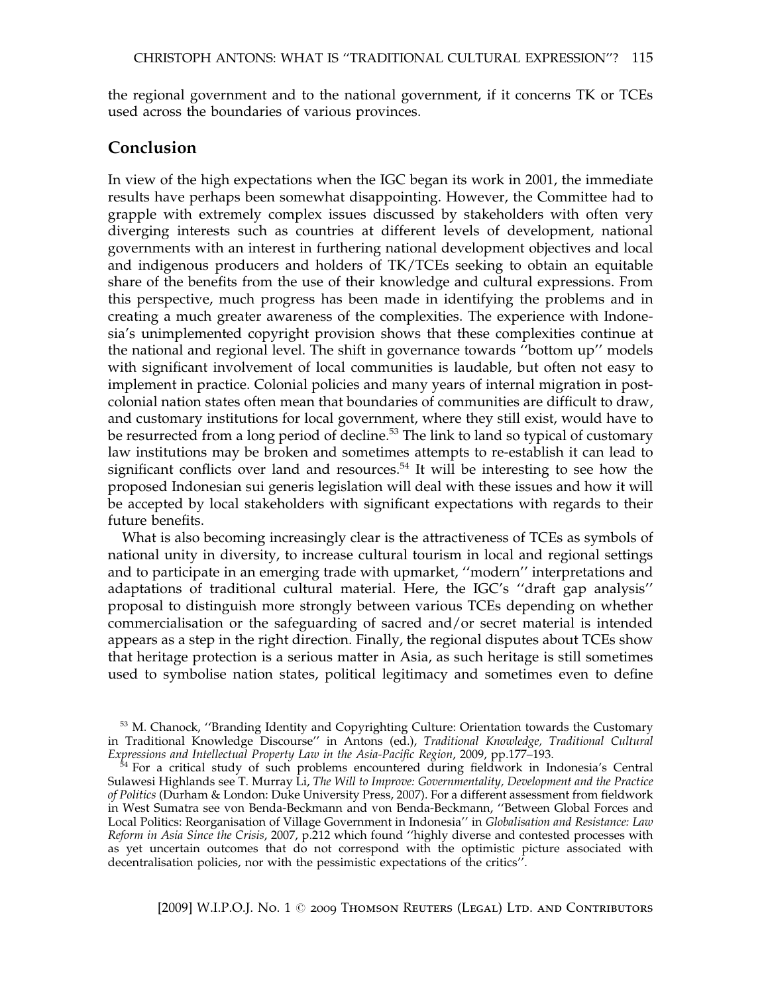the regional government and to the national government, if it concerns TK or TCEs used across the boundaries of various provinces.

#### Conclusion

In view of the high expectations when the IGC began its work in 2001, the immediate results have perhaps been somewhat disappointing. However, the Committee had to grapple with extremely complex issues discussed by stakeholders with often very diverging interests such as countries at different levels of development, national governments with an interest in furthering national development objectives and local and indigenous producers and holders of TK/TCEs seeking to obtain an equitable share of the benefits from the use of their knowledge and cultural expressions. From this perspective, much progress has been made in identifying the problems and in creating a much greater awareness of the complexities. The experience with Indonesia's unimplemented copyright provision shows that these complexities continue at the national and regional level. The shift in governance towards ''bottom up'' models with significant involvement of local communities is laudable, but often not easy to implement in practice. Colonial policies and many years of internal migration in postcolonial nation states often mean that boundaries of communities are difficult to draw, and customary institutions for local government, where they still exist, would have to be resurrected from a long period of decline.<sup>53</sup> The link to land so typical of customary law institutions may be broken and sometimes attempts to re-establish it can lead to significant conflicts over land and resources.<sup>54</sup> It will be interesting to see how the proposed Indonesian sui generis legislation will deal with these issues and how it will be accepted by local stakeholders with significant expectations with regards to their future benefits.

What is also becoming increasingly clear is the attractiveness of TCEs as symbols of national unity in diversity, to increase cultural tourism in local and regional settings and to participate in an emerging trade with upmarket, ''modern'' interpretations and adaptations of traditional cultural material. Here, the IGC's ''draft gap analysis'' proposal to distinguish more strongly between various TCEs depending on whether commercialisation or the safeguarding of sacred and/or secret material is intended appears as a step in the right direction. Finally, the regional disputes about TCEs show that heritage protection is a serious matter in Asia, as such heritage is still sometimes used to symbolise nation states, political legitimacy and sometimes even to define

<sup>54</sup> For a critical study of such problems encountered during fieldwork in Indonesia's Central Sulawesi Highlands see T. Murray Li, The Will to Improve: Governmentality, Development and the Practice of Politics (Durham & London: Duke University Press, 2007). For a different assessment from fieldwork in West Sumatra see von Benda-Beckmann and von Benda-Beckmann, ''Between Global Forces and Local Politics: Reorganisation of Village Government in Indonesia'' in Globalisation and Resistance: Law Reform in Asia Since the Crisis, 2007, p.212 which found ''highly diverse and contested processes with as yet uncertain outcomes that do not correspond with the optimistic picture associated with decentralisation policies, nor with the pessimistic expectations of the critics''.

<sup>&</sup>lt;sup>53</sup> M. Chanock, "Branding Identity and Copyrighting Culture: Orientation towards the Customary in Traditional Knowledge Discourse'' in Antons (ed.), Traditional Knowledge, Traditional Cultural Expressions and Intellectual Property Law in the Asia-Pacific Region, 2009, pp.177-193.